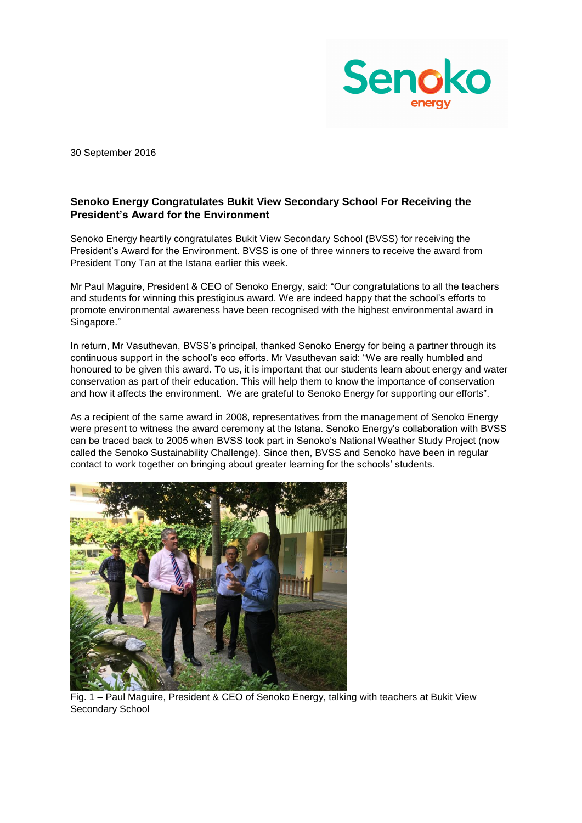

30 September 2016

## **Senoko Energy Congratulates Bukit View Secondary School For Receiving the President's Award for the Environment**

Senoko Energy heartily congratulates Bukit View Secondary School (BVSS) for receiving the President's Award for the Environment. BVSS is one of three winners to receive the award from President Tony Tan at the Istana earlier this week.

Mr Paul Maguire, President & CEO of Senoko Energy, said: "Our congratulations to all the teachers and students for winning this prestigious award. We are indeed happy that the school's efforts to promote environmental awareness have been recognised with the highest environmental award in Singapore."

In return, Mr Vasuthevan, BVSS's principal, thanked Senoko Energy for being a partner through its continuous support in the school's eco efforts. Mr Vasuthevan said: "We are really humbled and honoured to be given this award. To us, it is important that our students learn about energy and water conservation as part of their education. This will help them to know the importance of conservation and how it affects the environment. We are grateful to Senoko Energy for supporting our efforts".

As a recipient of the same award in 2008, representatives from the management of Senoko Energy were present to witness the award ceremony at the Istana. Senoko Energy's collaboration with BVSS can be traced back to 2005 when BVSS took part in Senoko's National Weather Study Project (now called the Senoko Sustainability Challenge). Since then, BVSS and Senoko have been in regular contact to work together on bringing about greater learning for the schools' students.



Fig. 1 – Paul Maguire, President & CEO of Senoko Energy, talking with teachers at Bukit View Secondary School